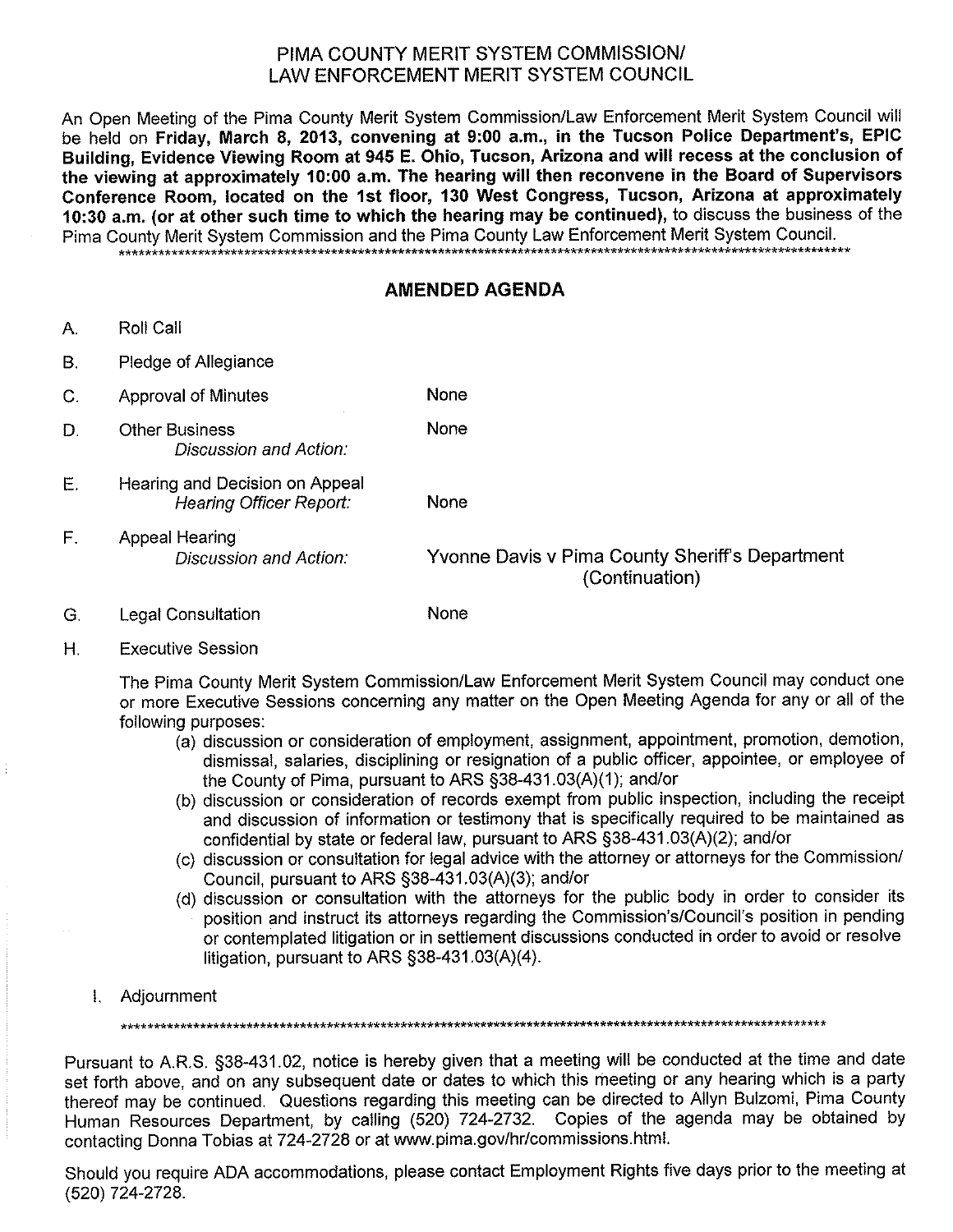## PIMA COUNTY MERIT SYSTEM COMMISSION/ **I AW ENFORCEMENT MERIT SYSTEM COUNCIL**

An Open Meeting of the Pima County Merit System Commission/Law Enforcement Merit System Council will be held on Friday, March 8, 2013, convening at 9:00 a.m., in the Tucson Police Department's, EPIC Building, Evidence Viewing Room at 945 E. Ohio, Tucson, Arizona and will recess at the conclusion of the viewing at approximately 10:00 a.m. The hearing will then reconvene in the Board of Supervisors Conference Room, located on the 1st floor, 130 West Congress, Tucson, Arizona at approximately 10:30 a.m. (or at other such time to which the hearing may be continued), to discuss the business of the Pima County Merit System Commission and the Pima County Law Enforcement Merit System Council.

None

None

## **AMENDED AGENDA**

- $A_{n}$ Roll Call
- $B<sub>r</sub>$ Pledge of Allegiance
- None  $C_{1}$ **Approval of Minutes**
- D. **Other Business** Discussion and Action:
- E. Hearing and Decision on Appeal **Hearing Officer Report:** None
- $F_{\cdot}$ **Appeal Hearing** Discussion and Action:

Yvonne Davis v Pima County Sheriff's Department (Continuation)

- G. **Legal Consultation**
- Η. **Executive Session**

The Pima County Merit System Commission/Law Enforcement Merit System Council may conduct one or more Executive Sessions concerning any matter on the Open Meeting Agenda for any or all of the following purposes:

- (a) discussion or consideration of employment, assignment, appointment, promotion, demotion, dismissal, salaries, disciplining or resignation of a public officer, appointee, or employee of the County of Pima, pursuant to ARS §38-431.03(A)(1); and/or
- (b) discussion or consideration of records exempt from public inspection, including the receipt and discussion of information or testimony that is specifically required to be maintained as confidential by state or federal law, pursuant to ARS §38-431.03(A)(2); and/or
- (c) discussion or consultation for legal advice with the attorney or attorneys for the Commission/ Council, pursuant to ARS §38-431.03(A)(3); and/or
- (d) discussion or consultation with the attorneys for the public body in order to consider its position and instruct its attorneys regarding the Commission's/Council's position in pending or contemplated litigation or in settlement discussions conducted in order to avoid or resolve litigation, pursuant to ARS §38-431.03(A)(4).
- 1. Adjournment

Pursuant to A.R.S. §38-431.02, notice is hereby given that a meeting will be conducted at the time and date set forth above, and on any subsequent date or dates to which this meeting or any hearing which is a party thereof may be continued. Questions regarding this meeting can be directed to Allyn Bulzomi, Pima County Human Resources Department, by calling (520) 724-2732. Copies of the agenda may be obtained by contacting Donna Tobias at 724-2728 or at www.pima.gov/hr/commissions.html.

Should you require ADA accommodations, please contact Employment Rights five days prior to the meeting at (520) 724-2728.